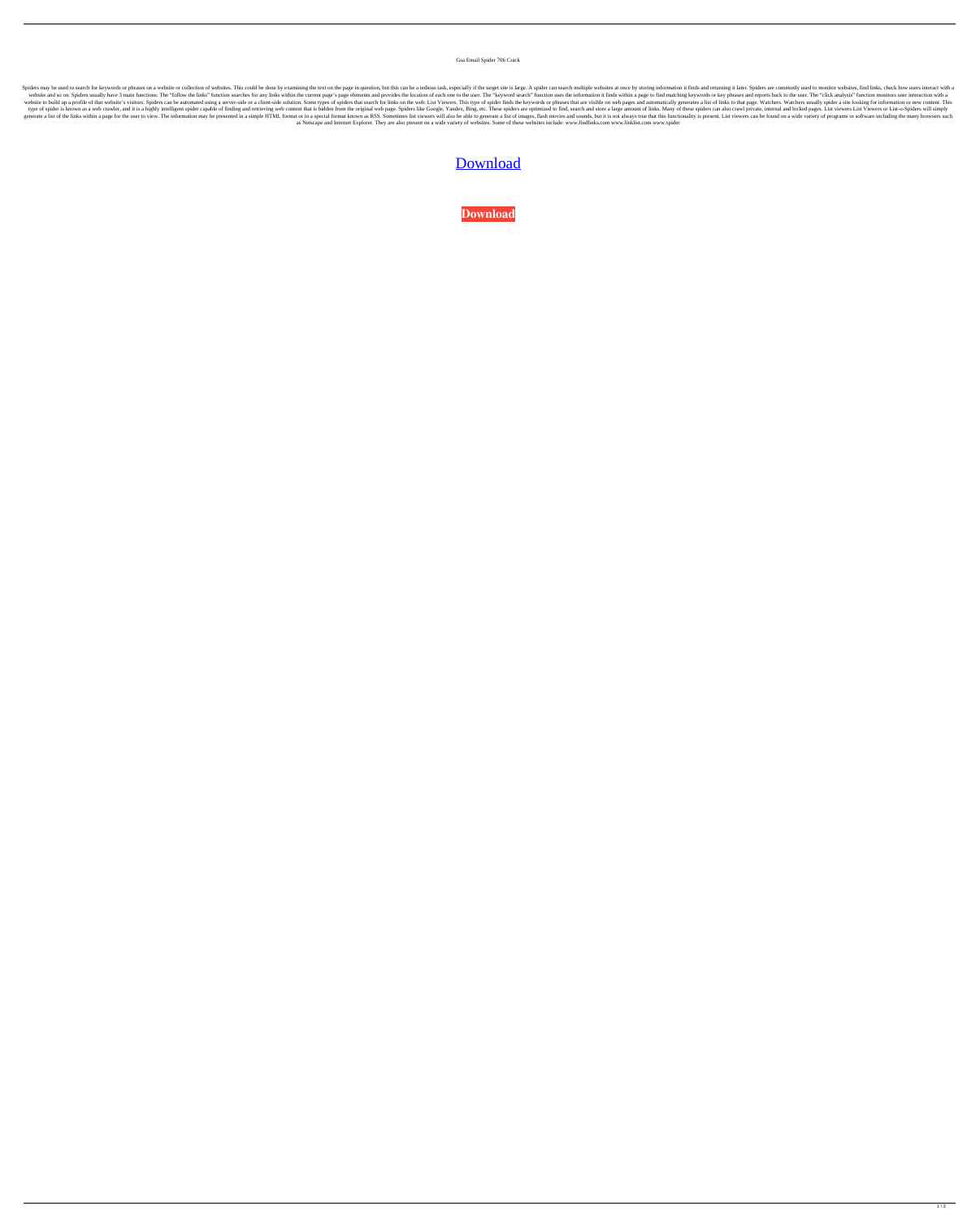Gsa Email Spider 706 Crack

Spiders may be used to search for keywords or phrases on a website or collection of websites. This could be done by examining the text on the page in question, but this can be a tedious task, especially if the target site website and so on. Spiders usually have 3 main functions: The "follow the links" function searches for any links within the current page's page elements and provides the location of each one to the user. The "keyword searc website to build up a profile of that website's visitors. Spiders can be automated using a server-side or a client-side solution. Some types of spiders that search for links on the web: List Viewers. This type of spider fi type of spider is known as a web crawler, and it is a highly intelligent spider capable of finding and retrieving web content that is hidden from the original web page. Spiders like Google, Yandex, Bing, etc. These spiders generate a list of the links within a page for the user to view. The information may be presented in a simple HTML format or in a special format known as RSS. Sometimes list viewers will also be able to generate a list of as Netscape and Internet Explorer. They are also present on a wide variety of websites. Some of these websites include: www.findlinks.com www.linklist.com www.spider

## [Download](http://evacdir.com/R3NhIEVtYWlsIFNwaWRlciA3MDYgQ3JhY2sR3N/ZG93bmxvYWR8NEw0TVdONk5IeDhNVFkxTWpRMk16QTFNSHg4TWpVM05IeDhLRTBwSUhKbFlXUXRZbXh2WnlCYlJtRnpkQ0JIUlU1ZA/bituminous?footphysicans=curbed=jugglers=maximus=oled)

**[Download](http://evacdir.com/R3NhIEVtYWlsIFNwaWRlciA3MDYgQ3JhY2sR3N/ZG93bmxvYWR8NEw0TVdONk5IeDhNVFkxTWpRMk16QTFNSHg4TWpVM05IeDhLRTBwSUhKbFlXUXRZbXh2WnlCYlJtRnpkQ0JIUlU1ZA/bituminous?footphysicans=curbed=jugglers=maximus=oled)**